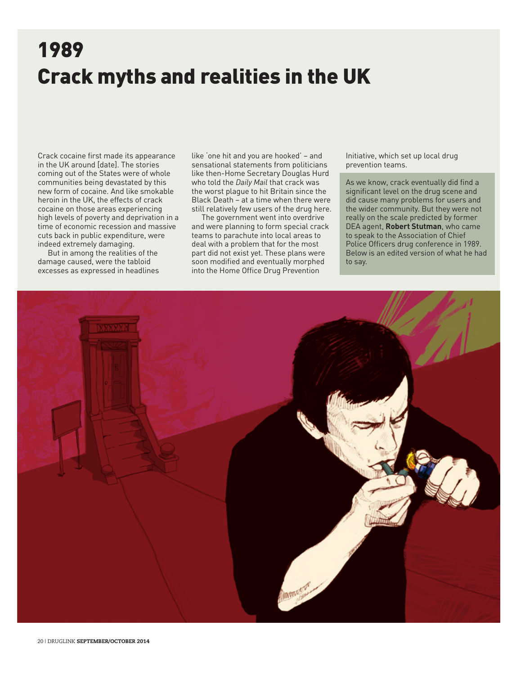## 1989 Crack myths and realities in the UK

Crack cocaine first made its appearance in the UK around [date]. The stories coming out of the States were of whole communities being devastated by this new form of cocaine. And like smokable heroin in the UK, the effects of crack cocaine on those areas experiencing high levels of poverty and deprivation in a time of economic recession and massive cuts back in public expenditure, were indeed extremely damaging.

But in among the realities of the damage caused, were the tabloid excesses as expressed in headlines like 'one hit and you are hooked' – and sensational statements from politicians like then-Home Secretary Douglas Hurd who told the *Daily Mail* that crack was the worst plague to hit Britain since the Black Death – at a time when there were still relatively few users of the drug here.

The government went into overdrive and were planning to form special crack teams to parachute into local areas to deal with a problem that for the most part did not exist yet. These plans were soon modified and eventually morphed into the Home Office Drug Prevention

Initiative, which set up local drug prevention teams.

As we know, crack eventually did find a significant level on the drug scene and did cause many problems for users and the wider community. But they were not really on the scale predicted by former DEA agent, **Robert Stutman**, who came to speak to the Association of Chief Police Officers drug conference in 1989. Below is an edited version of what he had to say.

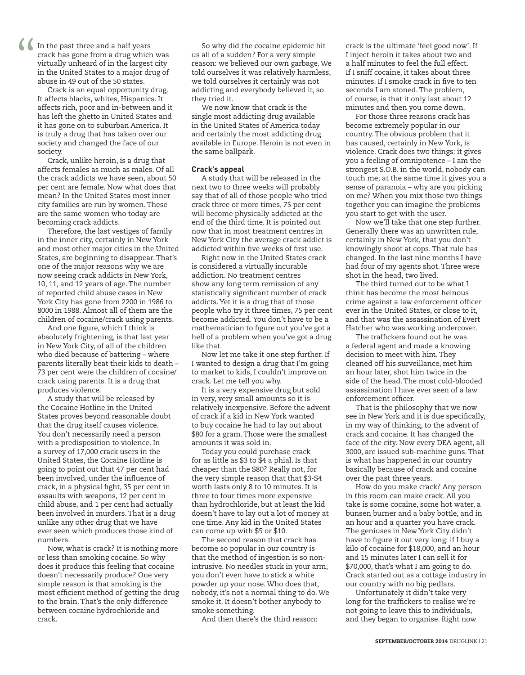In the past three and a half years crack has gone from a drug which was virtually unheard of in the largest city in the United States to a major drug of abuse in 49 out of the 50 states.  $\frac{1}{\sqrt{2}}$ 

Crack is an equal opportunity drug. It affects blacks, whites, Hispanics. It affects rich, poor and in-between and it has left the ghetto in United States and it has gone on to suburban America. It is truly a drug that has taken over our society and changed the face of our society.

Crack, unlike heroin, is a drug that affects females as much as males. Of all the crack addicts we have seen, about 50 per cent are female. Now what does that mean? In the United States most inner city families are run by women. These are the same women who today are becoming crack addicts.

Therefore, the last vestiges of family in the inner city, certainly in New York and most other major cities in the United States, are beginning to disappear. That's one of the major reasons why we are now seeing crack addicts in New York, 10, 11, and 12 years of age. The number of reported child abuse cases in New York City has gone from 2200 in 1986 to 8000 in 1988. Almost all of them are the children of cocaine/crack using parents.

And one figure, which I think is absolutely frightening, is that last year in New York City, of all of the children who died because of battering – where parents literally beat their kids to death – 73 per cent were the children of cocaine/ crack using parents. It is a drug that produces violence.

A study that will be released by the Cocaine Hotline in the United States proves beyond reasonable doubt that the drug itself causes violence. You don't necessarily need a person with a predisposition to violence. In a survey of 17,000 crack users in the United States, the Cocaine Hotline is going to point out that 47 per cent had been involved, under the influence of crack, in a physical fight, 35 per cent in assaults with weapons, 12 per cent in child abuse, and 1 per cent had actually been involved in murders. That is a drug unlike any other drug that we have ever seen which produces those kind of numbers.

Now, what is crack? It is nothing more or less than smoking cocaine. So why does it produce this feeling that cocaine doesn't necessarily produce? One very simple reason is that smoking is the most efficient method of getting the drug to the brain. That's the only difference between cocaine hydrochloride and crack.

So why did the cocaine epidemic hit us all of a sudden? For a very simple reason: we believed our own garbage. We told ourselves it was relatively harmless, we told ourselves it certainly was not addicting and everybody believed it, so they tried it.

We now know that crack is the single most addicting drug available in the United States of America today and certainly the most addicting drug available in Europe. Heroin is not even in the same ballpark.

#### **Crack's appeal**

A study that will be released in the next two to three weeks will probably say that of all of those people who tried crack three or more times, 75 per cent will become physically addicted at the end of the third time. It is pointed out now that in most treatment centres in New York City the average crack addict is addicted within five weeks of first use.

Right now in the United States crack is considered a virtually incurable addiction. No treatment centres show any long term remission of any statistically significant number of crack addicts. Yet it is a drug that of those people who try it three times, 75 per cent become addicted. You don't have to be a mathematician to figure out you've got a hell of a problem when you've got a drug like that.

Now let me take it one step further. If I wanted to design a drug that I'm going to market to kids, I couldn't improve on crack. Let me tell you why.

It is a very expensive drug but sold in very, very small amounts so it is relatively inexpensive. Before the advent of crack if a kid in New York wanted to buy cocaine he had to lay out about \$80 for a gram. Those were the smallest amounts it was sold in.

Today you could purchase crack for as little as \$3 to \$4 a phial. Is that cheaper than the \$80? Really not, for the very simple reason that that \$3-\$4 worth lasts only 8 to 10 minutes. It is three to four times more expensive than hydrochloride, but at least the kid doesn't have to lay out a lot of money at one time. Any kid in the United States can come up with \$5 or \$10.

The second reason that crack has become so popular in our country is that the method of ingestion is so nonintrusive. No needles stuck in your arm, you don't even have to stick a white powder up your nose. Who does that, nobody, it's not a normal thing to do. We smoke it. It doesn't bother anybody to smoke something.

And then there's the third reason:

crack is the ultimate 'feel good now'. If I inject heroin it takes about two and a half minutes to feel the full effect. If I sniff cocaine, it takes about three minutes. If I smoke crack in five to ten seconds I am stoned. The problem, of course, is that it only last about 12 minutes and then you come down.

For those three reasons crack has become extremely popular in our country. The obvious problem that it has caused, certainly in New York, is violence. Crack does two things: it gives you a feeling of omnipotence – I am the strongest S.O.B. in the world, nobody can touch me; at the same time it gives you a sense of paranoia – why are you picking on me? When you mix those two things together you can imagine the problems you start to get with the user.

Now we'll take that one step further. Generally there was an unwritten rule, certainly in New York, that you don't knowingly shoot at cops. That rule has changed. In the last nine months I have had four of my agents shot. Three were shot in the head, two lived.

The third turned out to be what I think has become the most heinous crime against a law enforcement officer ever in the United States, or close to it, and that was the assassination of Evert Hatcher who was working undercover.

The traffickers found out he was a federal agent and made a knowing decision to meet with him. They cleaned off his surveillance, met him an hour later, shot him twice in the side of the head. The most cold-blooded assassination I have ever seen of a law enforcement officer.

That is the philosophy that we now see in New York and it is due specifically, in my way of thinking, to the advent of crack and cocaine. It has changed the face of the city. Now every DEA agent, all 3000, are issued sub-machine guns. That is what has happened in our country basically because of crack and cocaine over the past three years.

How do you make crack? Any person in this room can make crack. All you take is some cocaine, some hot water, a bunsen burner and a baby bottle, and in an hour and a quarter you have crack. The geniuses in New York City didn't have to figure it out very long: if I buy a kilo of cocaine for \$18,000, and an hour and 15 minutes later I can sell it for \$70,000, that's what I am going to do. Crack started out as a cottage industry in our country with no big pedlars.

Unfortunately it didn't take very long for the traffickers to realise we're not going to leave this to individuals, and they began to organise. Right now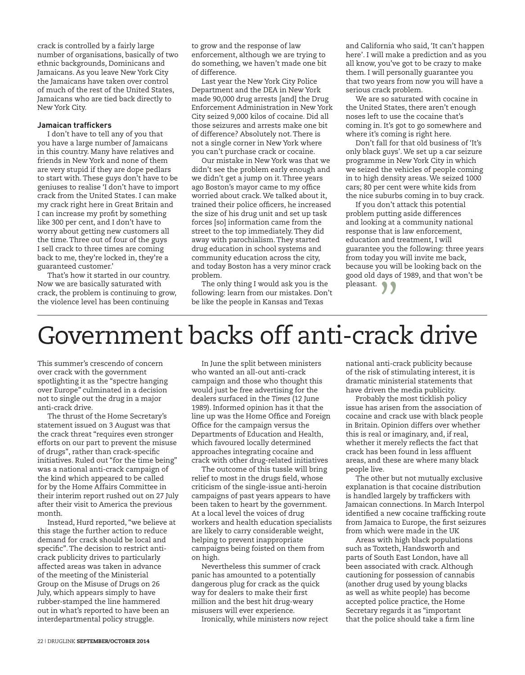crack is controlled by a fairly large number of organisations, basically of two ethnic backgrounds, Dominicans and Jamaicans. As you leave New York City the Jamaicans have taken over control of much of the rest of the United States, Jamaicans who are tied back directly to New York City.

### **Jamaican traffickers**

I don't have to tell any of you that you have a large number of Jamaicans in this country. Many have relatives and friends in New York and none of them are very stupid if they are dope pedlars to start with. These guys don't have to be geniuses to realise 'I don't have to import crack from the United States. I can make my crack right here in Great Britain and I can increase my profit by something like 300 per cent, and I don't have to worry about getting new customers all the time. Three out of four of the guys I sell crack to three times are coming back to me, they're locked in, they're a guaranteed customer.'

That's how it started in our country. Now we are basically saturated with crack, the problem is continuing to grow, the violence level has been continuing

to grow and the response of law enforcement, although we are trying to do something, we haven't made one bit of difference.

Last year the New York City Police Department and the DEA in New York made 90,000 drug arrests [and] the Drug Enforcement Administration in New York City seized 9,000 kilos of cocaine. Did all those seizures and arrests make one bit of difference? Absolutely not. There is not a single corner in New York where you can't purchase crack or cocaine.

Our mistake in New York was that we didn't see the problem early enough and we didn't get a jump on it. Three years ago Boston's mayor came to my office worried about crack. We talked about it, trained their police officers, he increased the size of his drug unit and set up task forces [so] information came from the street to the top immediately. They did away with parochialism. They started drug education in school systems and community education across the city, and today Boston has a very minor crack problem.

The only thing I would ask you is the following: learn from our mistakes. Don't be like the people in Kansas and Texas

and California who said, 'It can't happen here'. I will make a prediction and as you all know, you've got to be crazy to make them. I will personally guarantee you that two years from now you will have a serious crack problem.

We are so saturated with cocaine in the United States, there aren't enough noses left to use the cocaine that's coming in. It's got to go somewhere and where it's coming is right here.

Don't fall for that old business of 'It's only black guys'. We set up a car seizure programme in New York City in which we seized the vehicles of people coming in to high density areas. We seized 1000 cars; 80 per cent were white kids from the nice suburbs coming in to buy crack.

If you don't attack this potential problem putting aside differences and looking at a community national response that is law enforcement, education and treatment, I will guarantee you the following: three years from today you will invite me back, because you will be looking back on the good old days of 1989, and that won't be pleasant. **11** 

# Government backs off anti-crack drive

This summer's crescendo of concern over crack with the government spotlighting it as the "spectre hanging over Europe" culminated in a decision not to single out the drug in a major anti-crack drive.

The thrust of the Home Secretary's statement issued on 3 August was that the crack threat "requires even stronger efforts on our part to prevent the misuse of drugs", rather than crack-specific initiatives. Ruled out "for the time being" was a national anti-crack campaign of the kind which appeared to be called for by the Home Affairs Committee in their interim report rushed out on 27 July after their visit to America the previous month.

Instead, Hurd reported, "we believe at this stage the further action to reduce demand for crack should be local and specific". The decision to restrict anticrack publicity drives to particularly affected areas was taken in advance of the meeting of the Ministerial Group on the Misuse of Drugs on 26 July, which appears simply to have rubber-stamped the line hammered out in what's reported to have been an interdepartmental policy struggle.

In June the split between ministers who wanted an all-out anti-crack campaign and those who thought this would just be free advertising for the dealers surfaced in the *Times* (12 June 1989). Informed opinion has it that the line up was the Home Office and Foreign Office for the campaign versus the Departments of Education and Health, which favoured locally determined approaches integrating cocaine and crack with other drug-related initiatives

The outcome of this tussle will bring relief to most in the drugs field, whose criticism of the single-issue anti-heroin campaigns of past years appears to have been taken to heart by the government. At a local level the voices of drug workers and health education specialists are likely to carry considerable weight, helping to prevent inappropriate campaigns being foisted on them from on high.

Nevertheless this summer of crack panic has amounted to a potentially dangerous plug for crack as the quick way for dealers to make their first million and the best hit drug-weary misusers will ever experience.

Ironically, while ministers now reject

national anti-crack publicity because of the risk of stimulating interest, it is dramatic ministerial statements that have driven the media publicity.

Probably the most ticklish policy issue has arisen from the association of cocaine and crack use with black people in Britain. Opinion differs over whether this is real or imaginary, and, if real, whether it merely reflects the fact that crack has been found in less affluent areas, and these are where many black people live.

The other but not mutually exclusive explanation is that cocaine distribution is handled largely by traffickers with Jamaican connections. In March Interpol identified a new cocaine trafficking route from Jamaica to Europe, the first seizures from which were made in the UK

Areas with high black populations such as Toxteth, Handsworth and parts of South East London, have all been associated with crack. Although cautioning for possession of cannabis (another drug used by young blacks as well as white people) has become accepted police practice, the Home Secretary regards it as "important that the police should take a firm line